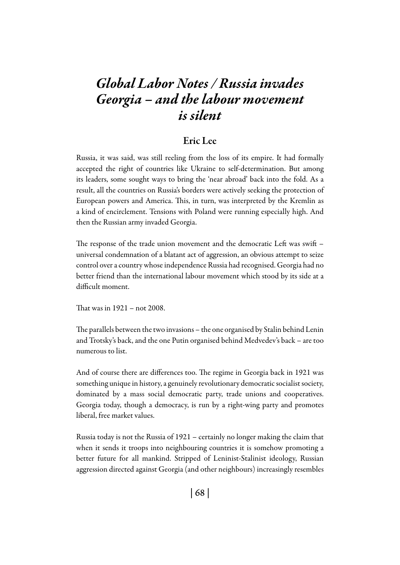# *Global Labor Notes / Russia invades Georgia – and the labour movement is silent*

#### Eric Lee

Russia, it was said, was still reeling from the loss of its empire. It had formally accepted the right of countries like Ukraine to self-determination. But among its leaders, some sought ways to bring the 'near abroad' back into the fold. As a result, all the countries on Russia's borders were actively seeking the protection of European powers and America. This, in turn, was interpreted by the Kremlin as a kind of encirclement. Tensions with Poland were running especially high. And then the Russian army invaded Georgia.

The response of the trade union movement and the democratic Left was swift – universal condemnation of a blatant act of aggression, an obvious attempt to seize control over a country whose independence Russia had recognised. Georgia had no better friend than the international labour movement which stood by its side at a difficult moment.

That was in 1921 – not 2008.

The parallels between the two invasions – the one organised by Stalin behind Lenin and Trotsky's back, and the one Putin organised behind Medvedev's back – are too numerous to list.

And of course there are differences too. The regime in Georgia back in 1921 was something unique in history, a genuinely revolutionary democratic socialist society, dominated by a mass social democratic party, trade unions and cooperatives. Georgia today, though a democracy, is run by a right-wing party and promotes liberal, free market values.

Russia today is not the Russia of 1921 – certainly no longer making the claim that when it sends it troops into neighbouring countries it is somehow promoting a better future for all mankind. Stripped of Leninist-Stalinist ideology, Russian aggression directed against Georgia (and other neighbours) increasingly resembles

| 68 |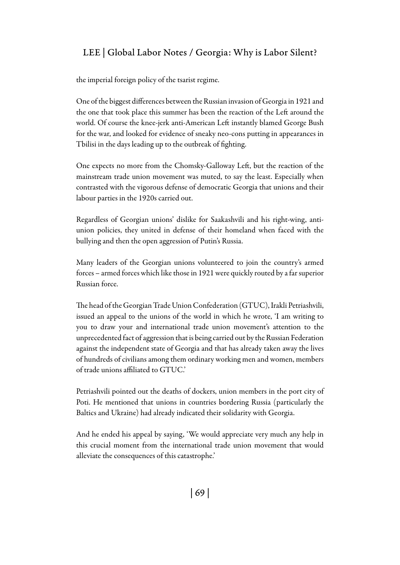#### LEE | Global Labor Notes / Georgia: Why is Labor Silent?

the imperial foreign policy of the tsarist regime.

One of the biggest differences between the Russian invasion of Georgia in 1921 and the one that took place this summer has been the reaction of the Left around the world. Of course the knee-jerk anti-American Left instantly blamed George Bush for the war, and looked for evidence of sneaky neo-cons putting in appearances in Tbilisi in the days leading up to the outbreak of fighting.

One expects no more from the Chomsky-Galloway Left, but the reaction of the mainstream trade union movement was muted, to say the least. Especially when contrasted with the vigorous defense of democratic Georgia that unions and their labour parties in the 1920s carried out.

Regardless of Georgian unions' dislike for Saakashvili and his right-wing, antiunion policies, they united in defense of their homeland when faced with the bullying and then the open aggression of Putin's Russia.

Many leaders of the Georgian unions volunteered to join the country's armed forces – armed forces which like those in 1921 were quickly routed by a far superior Russian force.

The head of the Georgian Trade Union Confederation (GTUC), Irakli Petriashvili, issued an appeal to the unions of the world in which he wrote, 'I am writing to you to draw your and international trade union movement's attention to the unprecedented fact of aggression that is being carried out by the Russian Federation against the independent state of Georgia and that has already taken away the lives of hundreds of civilians among them ordinary working men and women, members of trade unions affiliated to GTUC.'

Petriashvili pointed out the deaths of dockers, union members in the port city of Poti. He mentioned that unions in countries bordering Russia (particularly the Baltics and Ukraine) had already indicated their solidarity with Georgia.

And he ended his appeal by saying, 'We would appreciate very much any help in this crucial moment from the international trade union movement that would alleviate the consequences of this catastrophe.'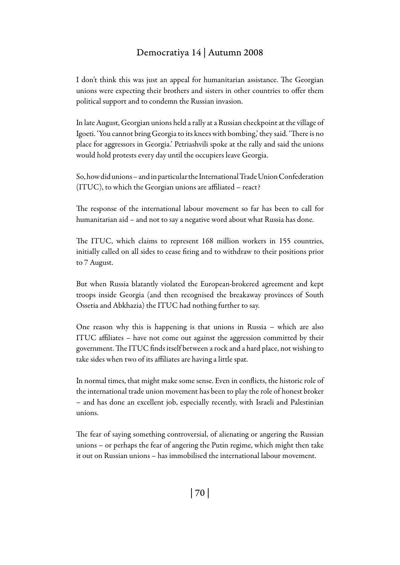## Democratiya 14 | Autumn 2008

I don't think this was just an appeal for humanitarian assistance. The Georgian unions were expecting their brothers and sisters in other countries to offer them political support and to condemn the Russian invasion.

In late August, Georgian unions held a rally at a Russian checkpoint at the village of Igoeti. 'You cannot bring Georgia to its knees with bombing,' they said. 'There is no place for aggressors in Georgia.' Petriashvili spoke at the rally and said the unions would hold protests every day until the occupiers leave Georgia.

So, how did unions – and in particular the International Trade Union Confederation (ITUC), to which the Georgian unions are affiliated – react?

The response of the international labour movement so far has been to call for humanitarian aid – and not to say a negative word about what Russia has done.

The ITUC, which claims to represent 168 million workers in 155 countries, initially called on all sides to cease firing and to withdraw to their positions prior to 7 August.

But when Russia blatantly violated the European-brokered agreement and kept troops inside Georgia (and then recognised the breakaway provinces of South Ossetia and Abkhazia) the ITUC had nothing further to say.

One reason why this is happening is that unions in Russia – which are also ITUC affiliates – have not come out against the aggression committed by their government. The ITUC finds itself between a rock and a hard place, not wishing to take sides when two of its affiliates are having a little spat.

In normal times, that might make some sense. Even in conflicts, the historic role of the international trade union movement has been to play the role of honest broker – and has done an excellent job, especially recently, with Israeli and Palestinian unions.

The fear of saying something controversial, of alienating or angering the Russian unions – or perhaps the fear of angering the Putin regime, which might then take it out on Russian unions – has immobilised the international labour movement.

| 70 |